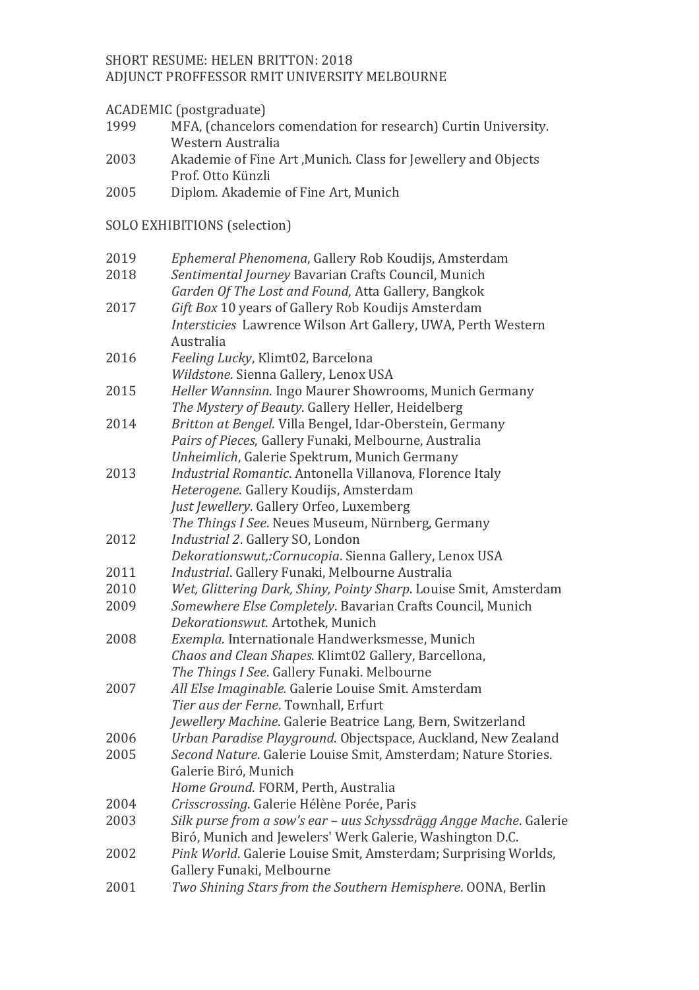## SHORT RESUME: HELEN BRITTON: 2018 ADJUNCT PROFFESSOR RMIT UNIVERSITY MELBOURNE

### ACADEMIC (postgraduate)

| 1999 | MFA, (chancelors comendation for research) Curtin University. |
|------|---------------------------------------------------------------|
|      | Western Australia                                             |
|      |                                                               |

- 2003 Akademie of Fine Art ,Munich. Class for Jewellery and Objects Prof. Otto Künzli
- 2005 Diplom. Akademie of Fine Art, Munich

# SOLO EXHIBITIONS (selection)

| 2019 | Ephemeral Phenomena, Gallery Rob Koudijs, Amsterdam                |
|------|--------------------------------------------------------------------|
| 2018 | Sentimental Journey Bavarian Crafts Council, Munich                |
|      | Garden Of The Lost and Found, Atta Gallery, Bangkok                |
| 2017 | Gift Box 10 years of Gallery Rob Koudijs Amsterdam                 |
|      | Intersticies Lawrence Wilson Art Gallery, UWA, Perth Western       |
|      | Australia                                                          |
| 2016 | Feeling Lucky, Klimt02, Barcelona                                  |
|      | Wildstone. Sienna Gallery, Lenox USA                               |
| 2015 | Heller Wannsinn. Ingo Maurer Showrooms, Munich Germany             |
|      | The Mystery of Beauty. Gallery Heller, Heidelberg                  |
| 2014 | Britton at Bengel. Villa Bengel, Idar-Oberstein, Germany           |
|      | Pairs of Pieces, Gallery Funaki, Melbourne, Australia              |
|      | Unheimlich, Galerie Spektrum, Munich Germany                       |
| 2013 | Industrial Romantic. Antonella Villanova, Florence Italy           |
|      | Heterogene. Gallery Koudijs, Amsterdam                             |
|      | Just Jewellery. Gallery Orfeo, Luxemberg                           |
|      | The Things I See. Neues Museum, Nürnberg, Germany                  |
| 2012 | Industrial 2. Gallery SO, London                                   |
|      | Dekorationswut,: Cornucopia. Sienna Gallery, Lenox USA             |
| 2011 | Industrial. Gallery Funaki, Melbourne Australia                    |
| 2010 | Wet, Glittering Dark, Shiny, Pointy Sharp. Louise Smit, Amsterdam  |
| 2009 | Somewhere Else Completely. Bavarian Crafts Council, Munich         |
|      | Dekorationswut. Artothek, Munich                                   |
| 2008 | Exempla. Internationale Handwerksmesse, Munich                     |
|      | Chaos and Clean Shapes. Klimt02 Gallery, Barcellona,               |
|      | The Things I See. Gallery Funaki. Melbourne                        |
| 2007 | All Else Imaginable. Galerie Louise Smit. Amsterdam                |
|      | Tier aus der Ferne. Townhall, Erfurt                               |
|      | Jewellery Machine. Galerie Beatrice Lang, Bern, Switzerland        |
| 2006 | Urban Paradise Playground. Objectspace, Auckland, New Zealand      |
| 2005 | Second Nature. Galerie Louise Smit, Amsterdam; Nature Stories.     |
|      | Galerie Biró, Munich                                               |
|      | Home Ground. FORM, Perth, Australia                                |
| 2004 | Crisscrossing. Galerie Hélène Porée, Paris                         |
| 2003 | Silk purse from a sow's ear – uus Schyssdrägg Angge Mache. Galerie |
|      | Biró, Munich and Jewelers' Werk Galerie, Washington D.C.           |
| 2002 | Pink World. Galerie Louise Smit, Amsterdam; Surprising Worlds,     |
|      | Gallery Funaki, Melbourne                                          |
| 2001 | Two Shining Stars from the Southern Hemisphere. OONA, Berlin       |